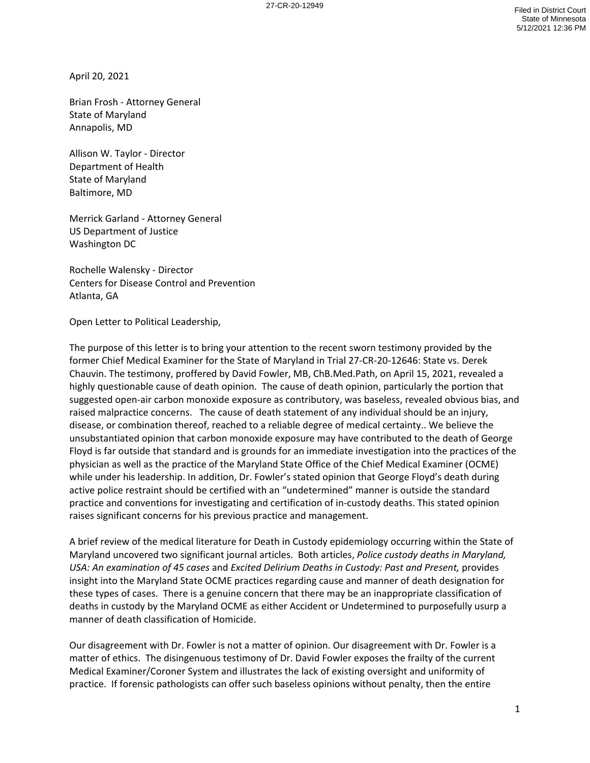April 20, 2021

Brian Frosh - Attorney General State of Maryland Annapolis, MD

Allison W. Taylor - Director Department of Health State of Maryland Baltimore, MD

Merrick Garland - Attorney General US Department of Justice Washington DC

Rochelle Walensky - Director Centers for Disease Control and Prevention Atlanta, GA

Open Letter to Political Leadership,

The purpose of this letter is to bring your attention to the recent sworn testimony provided by the former Chief Medical Examiner for the State of Maryland in Trial 27-CR-20-12646: State vs. Derek Chauvin. The testimony, proffered by David Fowler, MB, ChB.Med.Path, on April 15, 2021, revealed a highly questionable cause of death opinion. The cause of death opinion, particularly the portion that suggested open-air carbon monoxide exposure as contributory, was baseless, revealed obvious bias, and raised malpractice concerns. The cause of death statement of any individual should be an injury, disease, or combination thereof, reached to a reliable degree of medical certainty.. We believe the unsubstantiated opinion that carbon monoxide exposure may have contributed to the death of George Floyd is far outside that standard and is grounds for an immediate investigation into the practices of the physician as well as the practice of the Maryland State Office of the Chief Medical Examiner (OCME) while under his leadership. In addition, Dr. Fowler's stated opinion that George Floyd's death during active police restraint should be certified with an "undetermined" manner is outside the standard practice and conventions for investigating and certification of in-custody deaths. This stated opinion raises significant concerns for his previous practice and management.

A brief review of the medical literature for Death in Custody epidemiology occurring within the State of Maryland uncovered two significant journal articles. Both articles, *Police custody deaths in Maryland, USA: An examination of 45 cases* and *Excited Delirium Deaths in Custody: Past and Present,* provides insight into the Maryland State OCME practices regarding cause and manner of death designation for these types of cases. There is a genuine concern that there may be an inappropriate classification of deaths in custody by the Maryland OCME as either Accident or Undetermined to purposefully usurp a manner of death classification of Homicide.

Our disagreement with Dr. Fowler is not a matter of opinion. Our disagreement with Dr. Fowler is a matter of ethics. The disingenuous testimony of Dr. David Fowler exposes the frailty of the current Medical Examiner/Coroner System and illustrates the lack of existing oversight and uniformity of practice. If forensic pathologists can offer such baseless opinions without penalty, then the entire